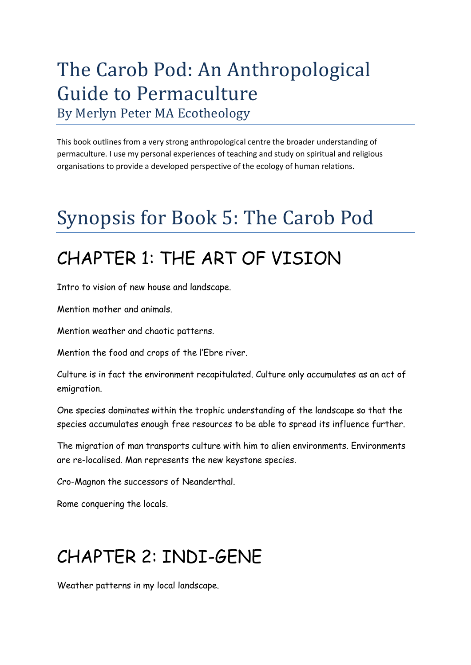### The Carob Pod: An Anthropological Guide to Permaculture By Merlyn Peter MA Ecotheology

This book outlines from a very strong anthropological centre the broader understanding of permaculture. I use my personal experiences of teaching and study on spiritual and religious organisations to provide a developed perspective of the ecology of human relations.

# Synopsis for Book 5: The Carob Pod

## CHAPTER 1: THE ART OF VISION

Intro to vision of new house and landscape.

Mention mother and animals.

Mention weather and chaotic patterns.

Mention the food and crops of the l'Ebre river.

Culture is in fact the environment recapitulated. Culture only accumulates as an act of emigration.

One species dominates within the trophic understanding of the landscape so that the species accumulates enough free resources to be able to spread its influence further.

The migration of man transports culture with him to alien environments. Environments are re-localised. Man represents the new keystone species.

Cro-Magnon the successors of Neanderthal.

Rome conquering the locals.

## CHAPTER 2: INDI-GENE

Weather patterns in my local landscape.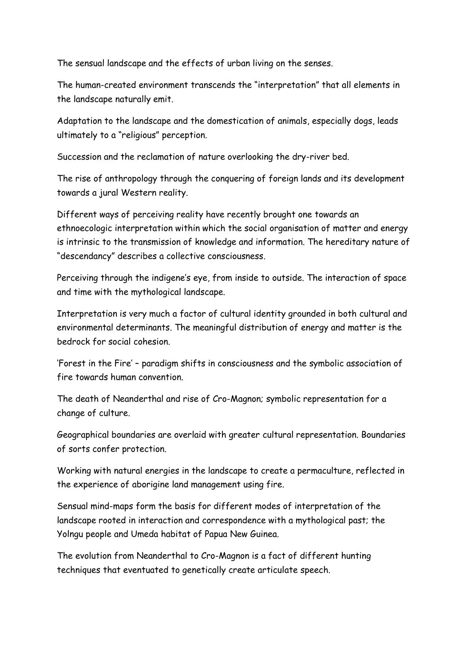The sensual landscape and the effects of urban living on the senses.

The human-created environment transcends the "interpretation" that all elements in the landscape naturally emit.

Adaptation to the landscape and the domestication of animals, especially dogs, leads ultimately to a "religious" perception.

Succession and the reclamation of nature overlooking the dry-river bed.

The rise of anthropology through the conquering of foreign lands and its development towards a jural Western reality.

Different ways of perceiving reality have recently brought one towards an ethnoecologic interpretation within which the social organisation of matter and energy is intrinsic to the transmission of knowledge and information. The hereditary nature of "descendancy" describes a collective consciousness.

Perceiving through the indigene's eye, from inside to outside. The interaction of space and time with the mythological landscape.

Interpretation is very much a factor of cultural identity grounded in both cultural and environmental determinants. The meaningful distribution of energy and matter is the bedrock for social cohesion.

'Forest in the Fire' – paradigm shifts in consciousness and the symbolic association of fire towards human convention.

The death of Neanderthal and rise of Cro-Magnon; symbolic representation for a change of culture.

Geographical boundaries are overlaid with greater cultural representation. Boundaries of sorts confer protection.

Working with natural energies in the landscape to create a permaculture, reflected in the experience of aborigine land management using fire.

Sensual mind-maps form the basis for different modes of interpretation of the landscape rooted in interaction and correspondence with a mythological past; the Yolngu people and Umeda habitat of Papua New Guinea.

The evolution from Neanderthal to Cro-Magnon is a fact of different hunting techniques that eventuated to genetically create articulate speech.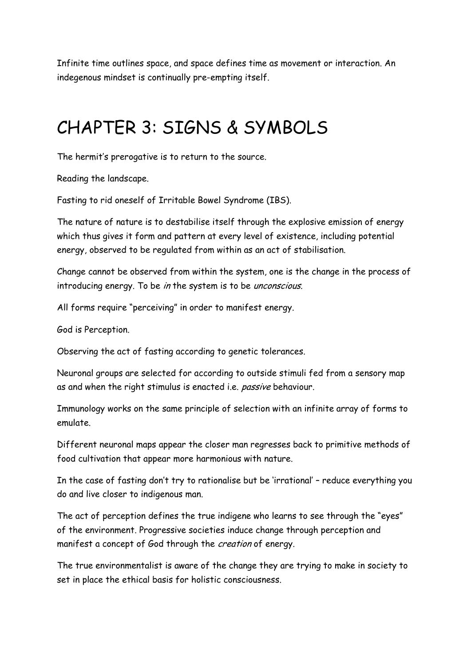Infinite time outlines space, and space defines time as movement or interaction. An indegenous mindset is continually pre-empting itself.

### CHAPTER 3: SIGNS & SYMBOLS

The hermit's prerogative is to return to the source.

Reading the landscape.

Fasting to rid oneself of Irritable Bowel Syndrome (IBS).

The nature of nature is to destabilise itself through the explosive emission of energy which thus gives it form and pattern at every level of existence, including potential energy, observed to be regulated from within as an act of stabilisation.

Change cannot be observed from within the system, one is the change in the process of introducing energy. To be in the system is to be unconscious.

All forms require "perceiving" in order to manifest energy.

God is Perception.

Observing the act of fasting according to genetic tolerances.

Neuronal groups are selected for according to outside stimuli fed from a sensory map as and when the right stimulus is enacted i.e. passive behaviour.

Immunology works on the same principle of selection with an infinite array of forms to emulate.

Different neuronal maps appear the closer man regresses back to primitive methods of food cultivation that appear more harmonious with nature.

In the case of fasting don't try to rationalise but be 'irrational' – reduce everything you do and live closer to indigenous man.

The act of perception defines the true indigene who learns to see through the "eyes" of the environment. Progressive societies induce change through perception and manifest a concept of God through the creation of energy.

The true environmentalist is aware of the change they are trying to make in society to set in place the ethical basis for holistic consciousness.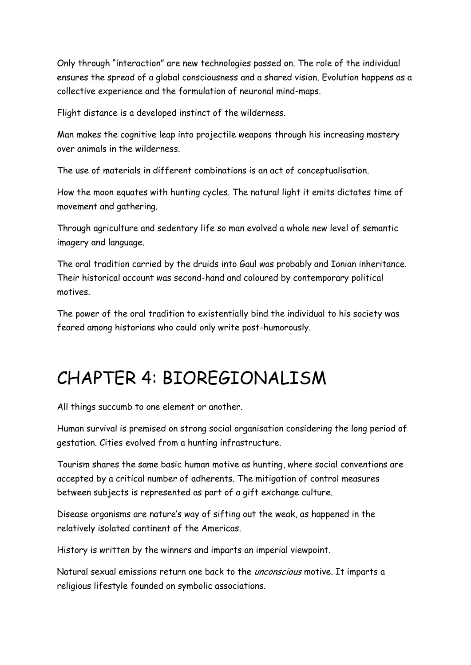Only through "interaction" are new technologies passed on. The role of the individual ensures the spread of a global consciousness and a shared vision. Evolution happens as a collective experience and the formulation of neuronal mind-maps.

Flight distance is a developed instinct of the wilderness.

Man makes the cognitive leap into projectile weapons through his increasing mastery over animals in the wilderness.

The use of materials in different combinations is an act of conceptualisation.

How the moon equates with hunting cycles. The natural light it emits dictates time of movement and gathering.

Through agriculture and sedentary life so man evolved a whole new level of semantic imagery and language.

The oral tradition carried by the druids into Gaul was probably and Ionian inheritance. Their historical account was second-hand and coloured by contemporary political motives.

The power of the oral tradition to existentially bind the individual to his society was feared among historians who could only write post-humorously.

## CHAPTER 4: BIOREGIONALISM

All things succumb to one element or another.

Human survival is premised on strong social organisation considering the long period of gestation. Cities evolved from a hunting infrastructure.

Tourism shares the same basic human motive as hunting, where social conventions are accepted by a critical number of adherents. The mitigation of control measures between subjects is represented as part of a gift exchange culture.

Disease organisms are nature's way of sifting out the weak, as happened in the relatively isolated continent of the Americas.

History is written by the winners and imparts an imperial viewpoint.

Natural sexual emissions return one back to the *unconscious* motive. It imparts a religious lifestyle founded on symbolic associations.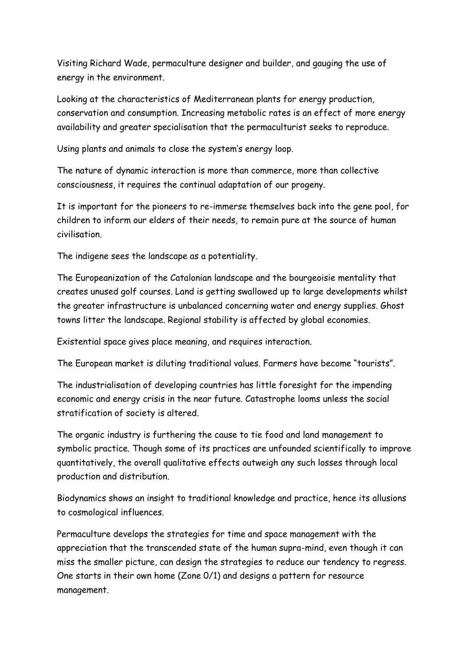Visiting Richard Wade, permaculture designer and builder, and gauging the use of energy in the environment.

Looking at the characteristics of Mediterranean plants for energy production, conservation and consumption. Increasing metabolic rates is an effect of more energy availability and greater specialisation that the permaculturist seeks to reproduce.

Using plants and animals to close the system's energy loop.

The nature of dynamic interaction is more than commerce, more than collective consciousness, it requires the continual adaptation of our progeny.

It is important for the pioneers to re-immerse themselves back into the gene pool, for children to inform our elders of their needs, to remain pure at the source of human civilisation.

The indigene sees the landscape as a potentiality.

The Europeanization of the Catalonian landscape and the bourgeoisie mentality that creates unused golf courses. Land is getting swallowed up to large developments whilst the greater infrastructure is unbalanced concerning water and energy supplies. Ghost towns litter the landscape. Regional stability is affected by global economies.

Existential space gives place meaning, and requires interaction.

The European market is diluting traditional values. Farmers have become "tourists".

The industrialisation of developing countries has little foresight for the impending economic and energy crisis in the near future. Catastrophe looms unless the social stratification of society is altered.

The organic industry is furthering the cause to tie food and land management to symbolic practice. Though some of its practices are unfounded scientifically to improve quantitatively, the overall qualitative effects outweigh any such losses through local production and distribution.

Biodynamics shows an insight to traditional knowledge and practice, hence its allusions to cosmological influences.

Permaculture develops the strategies for time and space management with the appreciation that the transcended state of the human supra-mind, even though it can miss the smaller picture, can design the strategies to reduce our tendency to regress. One starts in their own home (Zone 0/1) and designs a pattern for resource management.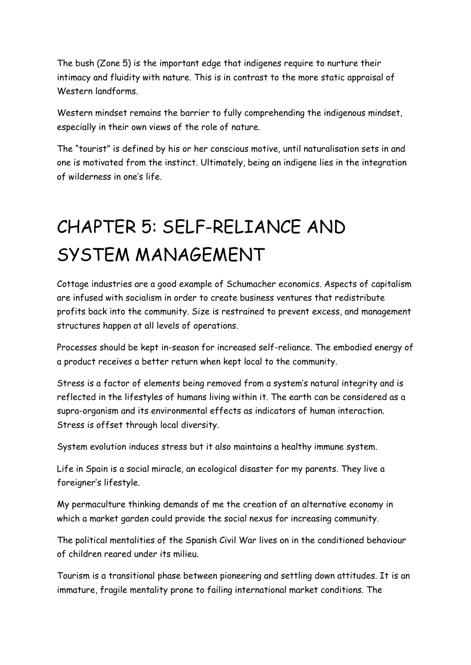The bush (Zone 5) is the important edge that indigenes require to nurture their intimacy and fluidity with nature. This is in contrast to the more static appraisal of Western landforms.

Western mindset remains the barrier to fully comprehending the indigenous mindset, especially in their own views of the role of nature.

The "tourist" is defined by his or her conscious motive, until naturalisation sets in and one is motivated from the instinct. Ultimately, being an indigene lies in the integration of wilderness in one's life.

# CHAPTER 5: SELF-RELIANCE AND SYSTEM MANAGEMENT

Cottage industries are a good example of Schumacher economics. Aspects of capitalism are infused with socialism in order to create business ventures that redistribute profits back into the community. Size is restrained to prevent excess, and management structures happen at all levels of operations.

Processes should be kept in-season for increased self-reliance. The embodied energy of a product receives a better return when kept local to the community.

Stress is a factor of elements being removed from a system's natural integrity and is reflected in the lifestyles of humans living within it. The earth can be considered as a supra-organism and its environmental effects as indicators of human interaction. Stress is offset through local diversity.

System evolution induces stress but it also maintains a healthy immune system.

Life in Spain is a social miracle, an ecological disaster for my parents. They live a foreigner's lifestyle.

My permaculture thinking demands of me the creation of an alternative economy in which a market garden could provide the social nexus for increasing community.

The political mentalities of the Spanish Civil War lives on in the conditioned behaviour of children reared under its milieu.

Tourism is a transitional phase between pioneering and settling down attitudes. It is an immature, fragile mentality prone to failing international market conditions. The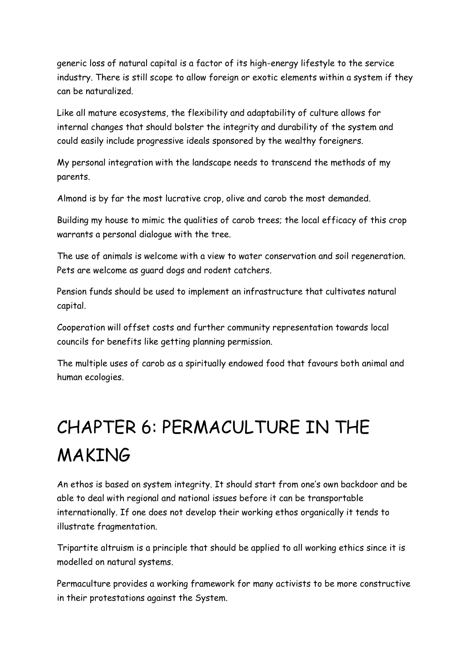generic loss of natural capital is a factor of its high-energy lifestyle to the service industry. There is still scope to allow foreign or exotic elements within a system if they can be naturalized.

Like all mature ecosystems, the flexibility and adaptability of culture allows for internal changes that should bolster the integrity and durability of the system and could easily include progressive ideals sponsored by the wealthy foreigners.

My personal integration with the landscape needs to transcend the methods of my parents.

Almond is by far the most lucrative crop, olive and carob the most demanded.

Building my house to mimic the qualities of carob trees; the local efficacy of this crop warrants a personal dialogue with the tree.

The use of animals is welcome with a view to water conservation and soil regeneration. Pets are welcome as guard dogs and rodent catchers.

Pension funds should be used to implement an infrastructure that cultivates natural capital.

Cooperation will offset costs and further community representation towards local councils for benefits like getting planning permission.

The multiple uses of carob as a spiritually endowed food that favours both animal and human ecologies.

# CHAPTER 6: PERMACULTURE IN THE MAKING

An ethos is based on system integrity. It should start from one's own backdoor and be able to deal with regional and national issues before it can be transportable internationally. If one does not develop their working ethos organically it tends to illustrate fragmentation.

Tripartite altruism is a principle that should be applied to all working ethics since it is modelled on natural systems.

Permaculture provides a working framework for many activists to be more constructive in their protestations against the System.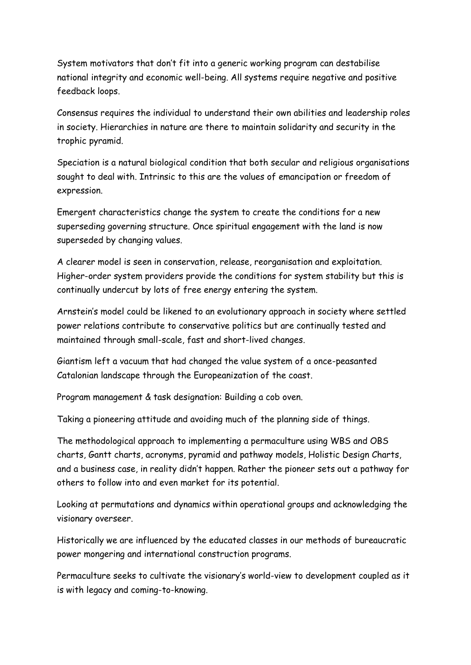System motivators that don't fit into a generic working program can destabilise national integrity and economic well-being. All systems require negative and positive feedback loops.

Consensus requires the individual to understand their own abilities and leadership roles in society. Hierarchies in nature are there to maintain solidarity and security in the trophic pyramid.

Speciation is a natural biological condition that both secular and religious organisations sought to deal with. Intrinsic to this are the values of emancipation or freedom of expression.

Emergent characteristics change the system to create the conditions for a new superseding governing structure. Once spiritual engagement with the land is now superseded by changing values.

A clearer model is seen in conservation, release, reorganisation and exploitation. Higher-order system providers provide the conditions for system stability but this is continually undercut by lots of free energy entering the system.

Arnstein's model could be likened to an evolutionary approach in society where settled power relations contribute to conservative politics but are continually tested and maintained through small-scale, fast and short-lived changes.

Giantism left a vacuum that had changed the value system of a once-peasanted Catalonian landscape through the Europeanization of the coast.

Program management & task designation: Building a cob oven.

Taking a pioneering attitude and avoiding much of the planning side of things.

The methodological approach to implementing a permaculture using WBS and OBS charts, Gantt charts, acronyms, pyramid and pathway models, Holistic Design Charts, and a business case, in reality didn't happen. Rather the pioneer sets out a pathway for others to follow into and even market for its potential.

Looking at permutations and dynamics within operational groups and acknowledging the visionary overseer.

Historically we are influenced by the educated classes in our methods of bureaucratic power mongering and international construction programs.

Permaculture seeks to cultivate the visionary's world-view to development coupled as it is with legacy and coming-to-knowing.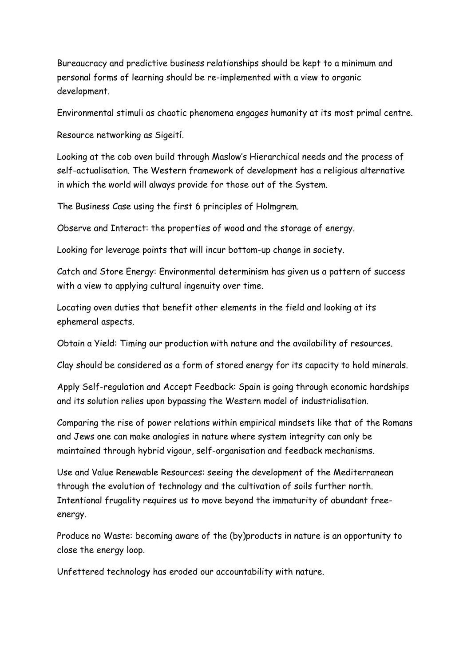Bureaucracy and predictive business relationships should be kept to a minimum and personal forms of learning should be re-implemented with a view to organic development.

Environmental stimuli as chaotic phenomena engages humanity at its most primal centre.

Resource networking as Sigeití.

Looking at the cob oven build through Maslow's Hierarchical needs and the process of self-actualisation. The Western framework of development has a religious alternative in which the world will always provide for those out of the System.

The Business Case using the first 6 principles of Holmgrem.

Observe and Interact: the properties of wood and the storage of energy.

Looking for leverage points that will incur bottom-up change in society.

Catch and Store Energy: Environmental determinism has given us a pattern of success with a view to applying cultural ingenuity over time.

Locating oven duties that benefit other elements in the field and looking at its ephemeral aspects.

Obtain a Yield: Timing our production with nature and the availability of resources.

Clay should be considered as a form of stored energy for its capacity to hold minerals.

Apply Self-regulation and Accept Feedback: Spain is going through economic hardships and its solution relies upon bypassing the Western model of industrialisation.

Comparing the rise of power relations within empirical mindsets like that of the Romans and Jews one can make analogies in nature where system integrity can only be maintained through hybrid vigour, self-organisation and feedback mechanisms.

Use and Value Renewable Resources: seeing the development of the Mediterranean through the evolution of technology and the cultivation of soils further north. Intentional frugality requires us to move beyond the immaturity of abundant freeenergy.

Produce no Waste: becoming aware of the (by)products in nature is an opportunity to close the energy loop.

Unfettered technology has eroded our accountability with nature.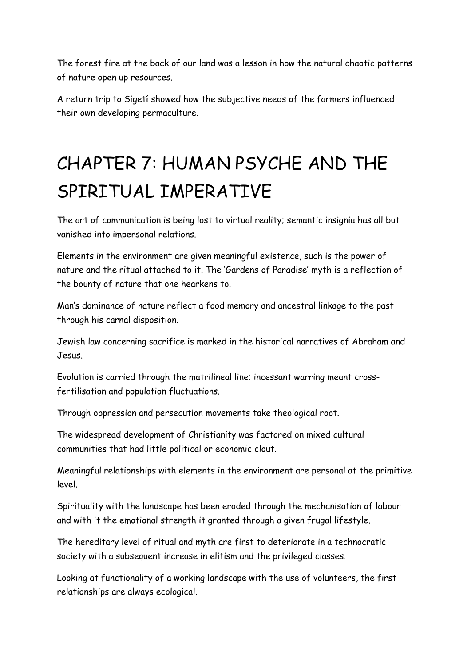The forest fire at the back of our land was a lesson in how the natural chaotic patterns of nature open up resources.

A return trip to Sigetí showed how the subjective needs of the farmers influenced their own developing permaculture.

# CHAPTER 7: HUMAN PSYCHE AND THE SPIRITUAL IMPERATIVE

The art of communication is being lost to virtual reality; semantic insignia has all but vanished into impersonal relations.

Elements in the environment are given meaningful existence, such is the power of nature and the ritual attached to it. The 'Gardens of Paradise' myth is a reflection of the bounty of nature that one hearkens to.

Man's dominance of nature reflect a food memory and ancestral linkage to the past through his carnal disposition.

Jewish law concerning sacrifice is marked in the historical narratives of Abraham and Jesus.

Evolution is carried through the matrilineal line; incessant warring meant crossfertilisation and population fluctuations.

Through oppression and persecution movements take theological root.

The widespread development of Christianity was factored on mixed cultural communities that had little political or economic clout.

Meaningful relationships with elements in the environment are personal at the primitive level.

Spirituality with the landscape has been eroded through the mechanisation of labour and with it the emotional strength it granted through a given frugal lifestyle.

The hereditary level of ritual and myth are first to deteriorate in a technocratic society with a subsequent increase in elitism and the privileged classes.

Looking at functionality of a working landscape with the use of volunteers, the first relationships are always ecological.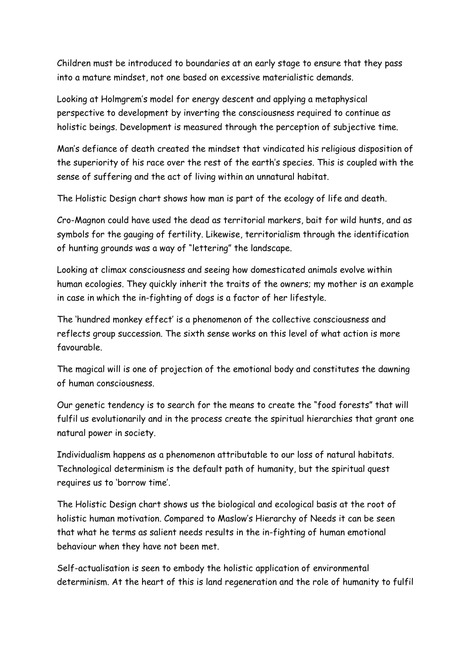Children must be introduced to boundaries at an early stage to ensure that they pass into a mature mindset, not one based on excessive materialistic demands.

Looking at Holmgrem's model for energy descent and applying a metaphysical perspective to development by inverting the consciousness required to continue as holistic beings. Development is measured through the perception of subjective time.

Man's defiance of death created the mindset that vindicated his religious disposition of the superiority of his race over the rest of the earth's species. This is coupled with the sense of suffering and the act of living within an unnatural habitat.

The Holistic Design chart shows how man is part of the ecology of life and death.

Cro-Magnon could have used the dead as territorial markers, bait for wild hunts, and as symbols for the gauging of fertility. Likewise, territorialism through the identification of hunting grounds was a way of "lettering" the landscape.

Looking at climax consciousness and seeing how domesticated animals evolve within human ecologies. They quickly inherit the traits of the owners; my mother is an example in case in which the in-fighting of dogs is a factor of her lifestyle.

The 'hundred monkey effect' is a phenomenon of the collective consciousness and reflects group succession. The sixth sense works on this level of what action is more favourable.

The magical will is one of projection of the emotional body and constitutes the dawning of human consciousness.

Our genetic tendency is to search for the means to create the "food forests" that will fulfil us evolutionarily and in the process create the spiritual hierarchies that grant one natural power in society.

Individualism happens as a phenomenon attributable to our loss of natural habitats. Technological determinism is the default path of humanity, but the spiritual quest requires us to 'borrow time'.

The Holistic Design chart shows us the biological and ecological basis at the root of holistic human motivation. Compared to Maslow's Hierarchy of Needs it can be seen that what he terms as salient needs results in the in-fighting of human emotional behaviour when they have not been met.

Self-actualisation is seen to embody the holistic application of environmental determinism. At the heart of this is land regeneration and the role of humanity to fulfil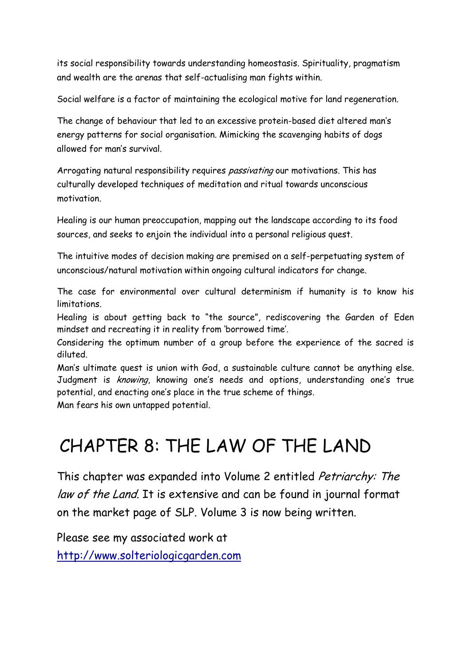its social responsibility towards understanding homeostasis. Spirituality, pragmatism and wealth are the arenas that self-actualising man fights within.

Social welfare is a factor of maintaining the ecological motive for land regeneration.

The change of behaviour that led to an excessive protein-based diet altered man's energy patterns for social organisation. Mimicking the scavenging habits of dogs allowed for man's survival.

Arrogating natural responsibility requires *passivating* our motivations. This has culturally developed techniques of meditation and ritual towards unconscious motivation.

Healing is our human preoccupation, mapping out the landscape according to its food sources, and seeks to enjoin the individual into a personal religious quest.

The intuitive modes of decision making are premised on a self-perpetuating system of unconscious/natural motivation within ongoing cultural indicators for change.

The case for environmental over cultural determinism if humanity is to know his limitations.

Healing is about getting back to "the source", rediscovering the Garden of Eden mindset and recreating it in reality from 'borrowed time'.

Considering the optimum number of a group before the experience of the sacred is diluted.

Man's ultimate quest is union with God, a sustainable culture cannot be anything else. Judgment is *knowing*, knowing one's needs and options, understanding one's true potential, and enacting one's place in the true scheme of things.

Man fears his own untapped potential.

### CHAPTER 8: THE LAW OF THE LAND

This chapter was expanded into Volume 2 entitled Petriarchy: The law of the Land. It is extensive and can be found in journal format on the market page of SLP. Volume 3 is now being written.

Please see my associated work at [http://www.solteriologicgarden.com](http://www.solteriologicgarden.com/)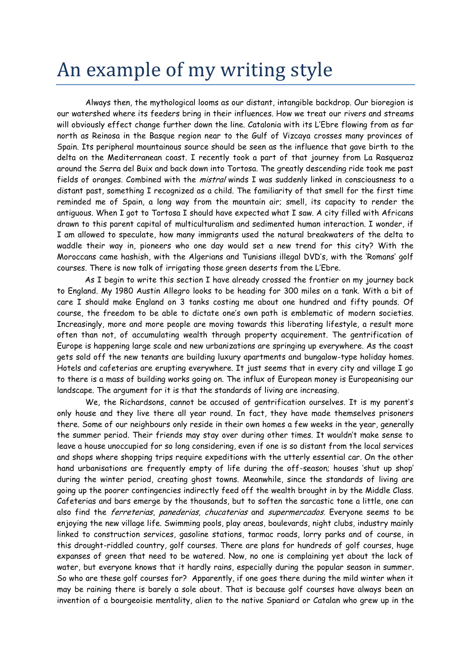## An example of my writing style

Always then, the mythological looms as our distant, intangible backdrop. Our bioregion is our watershed where its feeders bring in their influences. How we treat our rivers and streams will obviously effect change further down the line. Catalonia with its L'Ebre flowing from as far north as Reinosa in the Basque region near to the Gulf of Vizcaya crosses many provinces of Spain. Its peripheral mountainous source should be seen as the influence that gave birth to the delta on the Mediterranean coast. I recently took a part of that journey from La Rasqueraz around the Serra del Buix and back down into Tortosa. The greatly descending ride took me past fields of oranges. Combined with the *mistral* winds I was suddenly linked in consciousness to a distant past, something I recognized as a child. The familiarity of that smell for the first time reminded me of Spain, a long way from the mountain air; smell, its capacity to render the antiguous. When I got to Tortosa I should have expected what I saw. A city filled with Africans drawn to this parent capital of multiculturalism and sedimented human interaction. I wonder, if I am allowed to speculate, how many immigrants used the natural breakwaters of the delta to waddle their way in, pioneers who one day would set a new trend for this city? With the Moroccans came hashish, with the Algerians and Tunisians illegal DVD's, with the 'Romans' golf courses. There is now talk of irrigating those green deserts from the L'Ebre.

As I begin to write this section I have already crossed the frontier on my journey back to England. My 1980 Austin Allegro looks to be heading for 300 miles on a tank. With a bit of care I should make England on 3 tanks costing me about one hundred and fifty pounds. Of course, the freedom to be able to dictate one's own path is emblematic of modern societies. Increasingly, more and more people are moving towards this liberating lifestyle, a result more often than not, of accumulating wealth through property acquirement. The gentrification of Europe is happening large scale and new urbanizations are springing up everywhere. As the coast gets sold off the new tenants are building luxury apartments and bungalow-type holiday homes. Hotels and cafeterias are erupting everywhere. It just seems that in every city and village I go to there is a mass of building works going on. The influx of European money is Europeanising our landscape. The argument for it is that the standards of living are increasing.

We, the Richardsons, cannot be accused of gentrification ourselves. It is my parent's only house and they live there all year round. In fact, they have made themselves prisoners there. Some of our neighbours only reside in their own homes a few weeks in the year, generally the summer period. Their friends may stay over during other times. It wouldn't make sense to leave a house unoccupied for so long considering, even if one is so distant from the local services and shops where shopping trips require expeditions with the utterly essential car. On the other hand urbanisations are frequently empty of life during the off-season; houses 'shut up shop' during the winter period, creating ghost towns. Meanwhile, since the standards of living are going up the poorer contingencies indirectly feed off the wealth brought in by the Middle Class. Cafeterias and bars emerge by the thousands, but to soften the sarcastic tone a little, one can also find the *ferreterias, panederias, chucaterias* and *supermercados*. Everyone seems to be enjoying the new village life. Swimming pools, play areas, boulevards, night clubs, industry mainly linked to construction services, gasoline stations, tarmac roads, lorry parks and of course, in this drought-riddled country, golf courses. There are plans for hundreds of golf courses, huge expanses of green that need to be watered. Now, no one is complaining yet about the lack of water, but everyone knows that it hardly rains, especially during the popular season in summer. So who are these golf courses for? Apparently, if one goes there during the mild winter when it may be raining there is barely a sole about. That is because golf courses have always been an invention of a bourgeoisie mentality, alien to the native Spaniard or Catalan who grew up in the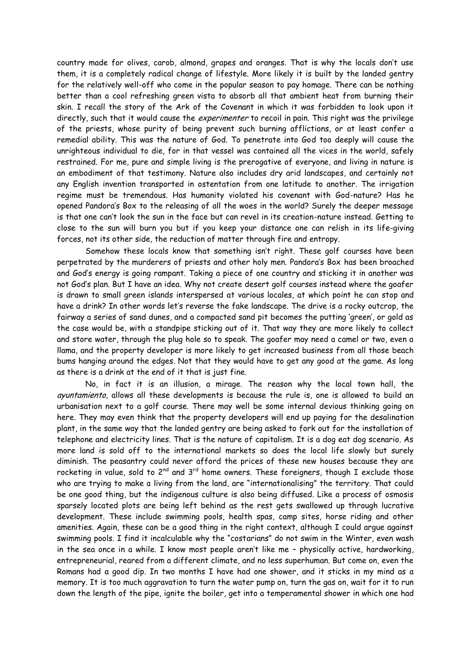country made for olives, carob, almond, grapes and oranges. That is why the locals don't use them, it is a completely radical change of lifestyle. More likely it is built by the landed gentry for the relatively well-off who come in the popular season to pay homage. There can be nothing better than a cool refreshing green vista to absorb all that ambient heat from burning their skin. I recall the story of the Ark of the Covenant in which it was forbidden to look upon it directly, such that it would cause the *experimenter* to recoil in pain. This right was the privilege of the priests, whose purity of being prevent such burning afflictions, or at least confer a remedial ability. This was the nature of God. To penetrate into God too deeply will cause the unrighteous individual to die, for in that vessel was contained all the vices in the world, safely restrained. For me, pure and simple living is the prerogative of everyone, and living in nature is an embodiment of that testimony. Nature also includes dry arid landscapes, and certainly not any English invention transported in ostentation from one latitude to another. The irrigation regime must be tremendous. Has humanity violated his covenant with God-nature? Has he opened Pandora's Box to the releasing of all the woes in the world? Surely the deeper message is that one can't look the sun in the face but can revel in its creation-nature instead. Getting to close to the sun will burn you but if you keep your distance one can relish in its life-giving forces, not its other side, the reduction of matter through fire and entropy.

Somehow these locals know that something isn't right. These golf courses have been perpetrated by the murderers of priests and other holy men. Pandora's Box has been broached and God's energy is going rampant. Taking a piece of one country and sticking it in another was not God's plan. But I have an idea. Why not create desert golf courses instead where the goafer is drawn to small green islands interspersed at various locales, at which point he can stop and have a drink? In other words let's reverse the fake landscape. The drive is a rocky outcrop, the fairway a series of sand dunes, and a compacted sand pit becomes the putting 'green', or gold as the case would be, with a standpipe sticking out of it. That way they are more likely to collect and store water, through the plug hole so to speak. The goafer may need a camel or two, even a llama, and the property developer is more likely to get increased business from all those beach bums hanging around the edges. Not that they would have to get any good at the game. As long as there is a drink at the end of it that is just fine.

No, in fact it is an illusion, a mirage. The reason why the local town hall, the ayuntamiento, allows all these developments is because the rule is, one is allowed to build an urbanisation next to a golf course. There may well be some internal devious thinking going on here. They may even think that the property developers will end up paying for the desalination plant, in the same way that the landed gentry are being asked to fork out for the installation of telephone and electricity lines. That is the nature of capitalism. It is a dog eat dog scenario. As more land is sold off to the international markets so does the local life slowly but surely diminish. The peasantry could never afford the prices of these new houses because they are rocketing in value, sold to  $2^{nd}$  and  $3^{rd}$  home owners. These foreigners, though I exclude those who are trying to make a living from the land, are "internationalising" the territory. That could be one good thing, but the indigenous culture is also being diffused. Like a process of osmosis sparsely located plots are being left behind as the rest gets swallowed up through lucrative development. These include swimming pools, health spas, camp sites, horse riding and other amenities. Again, these can be a good thing in the right context, although I could argue against swimming pools. I find it incalculable why the "costarians" do not swim in the Winter, even wash in the sea once in a while. I know most people aren't like me – physically active, hardworking, entrepreneurial, reared from a different climate, and no less superhuman. But come on, even the Romans had a good dip. In two months I have had one shower, and it sticks in my mind as a memory. It is too much aggravation to turn the water pump on, turn the gas on, wait for it to run down the length of the pipe, ignite the boiler, get into a temperamental shower in which one had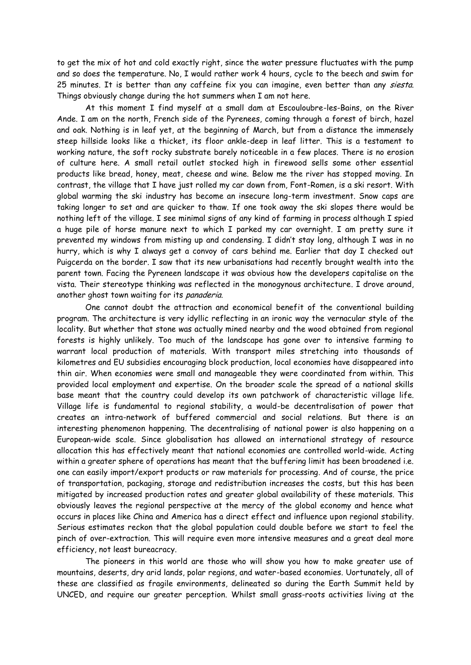to get the mix of hot and cold exactly right, since the water pressure fluctuates with the pump and so does the temperature. No, I would rather work 4 hours, cycle to the beech and swim for 25 minutes. It is better than any caffeine fix you can imagine, even better than any siesta. Things obviously change during the hot summers when I am not here.

At this moment I find myself at a small dam at Escouloubre-les-Bains, on the River Ande. I am on the north, French side of the Pyrenees, coming through a forest of birch, hazel and oak. Nothing is in leaf yet, at the beginning of March, but from a distance the immensely steep hillside looks like a thicket, its floor ankle-deep in leaf litter. This is a testament to working nature, the soft rocky substrate barely noticeable in a few places. There is no erosion of culture here. A small retail outlet stocked high in firewood sells some other essential products like bread, honey, meat, cheese and wine. Below me the river has stopped moving. In contrast, the village that I have just rolled my car down from, Font-Romen, is a ski resort. With global warming the ski industry has become an insecure long-term investment. Snow caps are taking longer to set and are quicker to thaw. If one took away the ski slopes there would be nothing left of the village. I see minimal signs of any kind of farming in process although I spied a huge pile of horse manure next to which I parked my car overnight. I am pretty sure it prevented my windows from misting up and condensing. I didn't stay long, although I was in no hurry, which is why I always get a convoy of cars behind me. Earlier that day I checked out Puigcerda on the border. I saw that its new urbanisations had recently brought wealth into the parent town. Facing the Pyreneen landscape it was obvious how the developers capitalise on the vista. Their stereotype thinking was reflected in the monogynous architecture. I drove around, another ghost town waiting for its panaderia.

One cannot doubt the attraction and economical benefit of the conventional building program. The architecture is very idyllic reflecting in an ironic way the vernacular style of the locality. But whether that stone was actually mined nearby and the wood obtained from regional forests is highly unlikely. Too much of the landscape has gone over to intensive farming to warrant local production of materials. With transport miles stretching into thousands of kilometres and EU subsidies encouraging block production, local economies have disappeared into thin air. When economies were small and manageable they were coordinated from within. This provided local employment and expertise. On the broader scale the spread of a national skills base meant that the country could develop its own patchwork of characteristic village life. Village life is fundamental to regional stability, a would-be decentralisation of power that creates an intra-network of buffered commercial and social relations. But there is an interesting phenomenon happening. The decentralising of national power is also happening on a European-wide scale. Since globalisation has allowed an international strategy of resource allocation this has effectively meant that national economies are controlled world-wide. Acting within a greater sphere of operations has meant that the buffering limit has been broadened i.e. one can easily import/export products or raw materials for processing. And of course, the price of transportation, packaging, storage and redistribution increases the costs, but this has been mitigated by increased production rates and greater global availability of these materials. This obviously leaves the regional perspective at the mercy of the global economy and hence what occurs in places like China and America has a direct effect and influence upon regional stability. Serious estimates reckon that the global population could double before we start to feel the pinch of over-extraction. This will require even more intensive measures and a great deal more efficiency, not least bureacracy.

The pioneers in this world are those who will show you how to make greater use of mountains, deserts, dry arid lands, polar regions, and water-based economies. Uortunately, all of these are classified as fragile environments, delineated so during the Earth Summit held by UNCED, and require our greater perception. Whilst small grass-roots activities living at the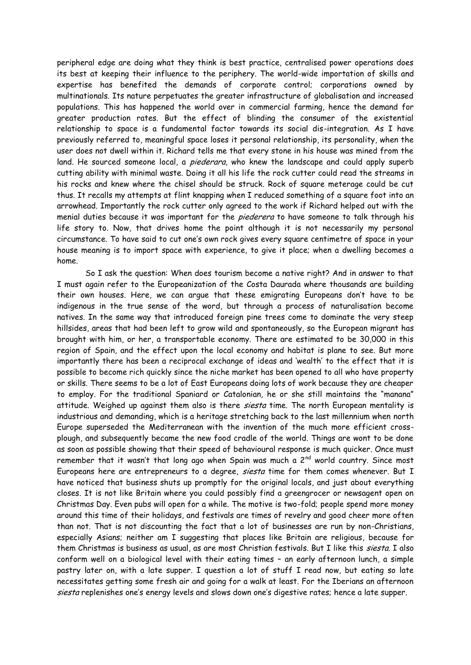peripheral edge are doing what they think is best practice, centralised power operations does its best at keeping their influence to the periphery. The world-wide importation of skills and expertise has benefited the demands of corporate control; corporations owned by multinationals. Its nature perpetuates the greater infrastructure of globalisation and increased populations. This has happened the world over in commercial farming, hence the demand for greater production rates. But the effect of blinding the consumer of the existential relationship to space is a fundamental factor towards its social dis-integration. As I have previously referred to, meaningful space loses it personal relationship, its personality, when the user does not dwell within it. Richard tells me that every stone in his house was mined from the land. He sourced someone local, a *piederara*, who knew the landscape and could apply superb cutting ability with minimal waste. Doing it all his life the rock cutter could read the streams in his rocks and knew where the chisel should be struck. Rock of square meterage could be cut thus. It recalls my attempts at flint knapping when I reduced something of a square foot into an arrowhead. Importantly the rock cutter only agreed to the work if Richard helped out with the menial duties because it was important for the *piederera* to have someone to talk through his life story to. Now, that drives home the point although it is not necessarily my personal circumstance. To have said to cut one's own rock gives every square centimetre of space in your house meaning is to import space with experience, to give it place; when a dwelling becomes a home.

So I ask the question: When does tourism become a native right? And in answer to that I must again refer to the Europeanization of the Costa Daurada where thousands are building their own houses. Here, we can argue that these emigrating Europeans don't have to be indigenous in the true sense of the word, but through a process of naturalisation become natives. In the same way that introduced foreign pine trees come to dominate the very steep hillsides, areas that had been left to grow wild and spontaneously, so the European migrant has brought with him, or her, a transportable economy. There are estimated to be 30,000 in this region of Spain, and the effect upon the local economy and habitat is plane to see. But more importantly there has been a reciprocal exchange of ideas and 'wealth' to the effect that it is possible to become rich quickly since the niche market has been opened to all who have property or skills. There seems to be a lot of East Europeans doing lots of work because they are cheaper to employ. For the traditional Spaniard or Catalonian, he or she still maintains the "manana" attitude. Weighed up against them also is there *siesta* time. The north European mentality is industrious and demanding, which is a heritage stretching back to the last millennium when north Europe superseded the Mediterranean with the invention of the much more efficient crossplough, and subsequently became the new food cradle of the world. Things are wont to be done as soon as possible showing that their speed of behavioural response is much quicker. Once must remember that it wasn't that long ago when Spain was much a  $2^{nd}$  world country. Since most Europeans here are entrepreneurs to a degree, siesta time for them comes whenever. But I have noticed that business shuts up promptly for the original locals, and just about everything closes. It is not like Britain where you could possibly find a greengrocer or newsagent open on Christmas Day. Even pubs will open for a while. The motive is two-fold; people spend more money around this time of their holidays, and festivals are times of revelry and good cheer more often than not. That is not discounting the fact that a lot of businesses are run by non-Christians, especially Asians; neither am I suggesting that places like Britain are religious, because for them Christmas is business as usual, as are most Christian festivals. But I like this siesta. I also conform well on a biological level with their eating times – an early afternoon lunch, a simple pastry later on, with a late supper. I question a lot of stuff I read now, but eating so late necessitates getting some fresh air and going for a walk at least. For the Iberians an afternoon siesta replenishes one's energy levels and slows down one's digestive rates; hence a late supper.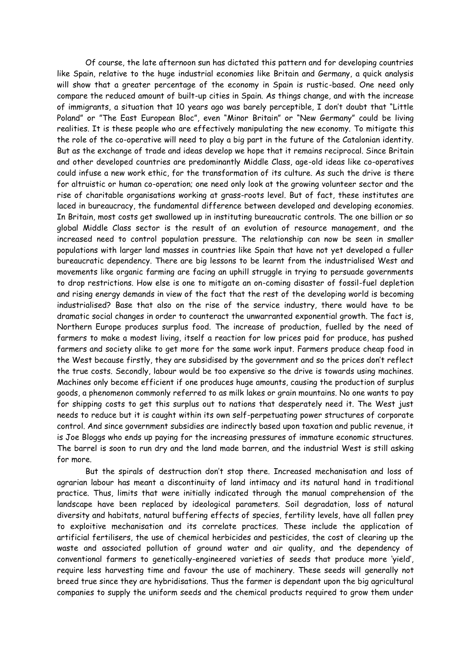Of course, the late afternoon sun has dictated this pattern and for developing countries like Spain, relative to the huge industrial economies like Britain and Germany, a quick analysis will show that a greater percentage of the economy in Spain is rustic-based. One need only compare the reduced amount of built-up cities in Spain. As things change, and with the increase of immigrants, a situation that 10 years ago was barely perceptible, I don't doubt that "Little Poland" or "The East European Bloc", even "Minor Britain" or "New Germany" could be living realities. It is these people who are effectively manipulating the new economy. To mitigate this the role of the co-operative will need to play a big part in the future of the Catalonian identity. But as the exchange of trade and ideas develop we hope that it remains reciprocal. Since Britain and other developed countries are predominantly Middle Class, age-old ideas like co-operatives could infuse a new work ethic, for the transformation of its culture. As such the drive is there for altruistic or human co-operation; one need only look at the growing volunteer sector and the rise of charitable organisations working at grass-roots level. But of fact, these institutes are laced in bureaucracy, the fundamental difference between developed and developing economies. In Britain, most costs get swallowed up in instituting bureaucratic controls. The one billion or so global Middle Class sector is the result of an evolution of resource management, and the increased need to control population pressure. The relationship can now be seen in smaller populations with larger land masses in countries like Spain that have not yet developed a fuller bureaucratic dependency. There are big lessons to be learnt from the industrialised West and movements like organic farming are facing an uphill struggle in trying to persuade governments to drop restrictions. How else is one to mitigate an on-coming disaster of fossil-fuel depletion and rising energy demands in view of the fact that the rest of the developing world is becoming industrialised? Base that also on the rise of the service industry, there would have to be dramatic social changes in order to counteract the unwarranted exponential growth. The fact is, Northern Europe produces surplus food. The increase of production, fuelled by the need of farmers to make a modest living, itself a reaction for low prices paid for produce, has pushed farmers and society alike to get more for the same work input. Farmers produce cheap food in the West because firstly, they are subsidised by the government and so the prices don't reflect the true costs. Secondly, labour would be too expensive so the drive is towards using machines. Machines only become efficient if one produces huge amounts, causing the production of surplus goods, a phenomenon commonly referred to as milk lakes or grain mountains. No one wants to pay for shipping costs to get this surplus out to nations that desperately need it. The West just needs to reduce but it is caught within its own self-perpetuating power structures of corporate control. And since government subsidies are indirectly based upon taxation and public revenue, it is Joe Bloggs who ends up paying for the increasing pressures of immature economic structures. The barrel is soon to run dry and the land made barren, and the industrial West is still asking for more.

But the spirals of destruction don't stop there. Increased mechanisation and loss of agrarian labour has meant a discontinuity of land intimacy and its natural hand in traditional practice. Thus, limits that were initially indicated through the manual comprehension of the landscape have been replaced by ideological parameters. Soil degradation, loss of natural diversity and habitats, natural buffering effects of species, fertility levels, have all fallen prey to exploitive mechanisation and its correlate practices. These include the application of artificial fertilisers, the use of chemical herbicides and pesticides, the cost of clearing up the waste and associated pollution of ground water and air quality, and the dependency of conventional farmers to genetically-engineered varieties of seeds that produce more 'yield', require less harvesting time and favour the use of machinery. These seeds will generally not breed true since they are hybridisations. Thus the farmer is dependant upon the big agricultural companies to supply the uniform seeds and the chemical products required to grow them under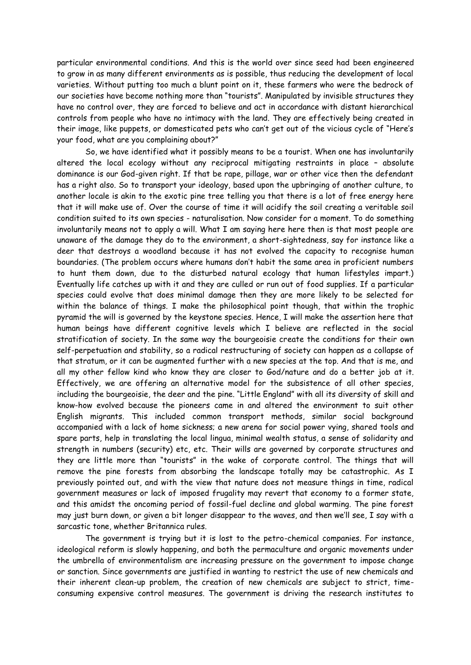particular environmental conditions. And this is the world over since seed had been engineered to grow in as many different environments as is possible, thus reducing the development of local varieties. Without putting too much a blunt point on it, these farmers who were the bedrock of our societies have become nothing more than "tourists". Manipulated by invisible structures they have no control over, they are forced to believe and act in accordance with distant hierarchical controls from people who have no intimacy with the land. They are effectively being created in their image, like puppets, or domesticated pets who can't get out of the vicious cycle of "Here's your food, what are you complaining about?"

So, we have identified what it possibly means to be a tourist. When one has involuntarily altered the local ecology without any reciprocal mitigating restraints in place – absolute dominance is our God-given right. If that be rape, pillage, war or other vice then the defendant has a right also. So to transport your ideology, based upon the upbringing of another culture, to another locale is akin to the exotic pine tree telling you that there is a lot of free energy here that it will make use of. Over the course of time it will acidify the soil creating a veritable soil condition suited to its own species - naturalisation. Now consider for a moment. To do something involuntarily means not to apply a will. What I am saying here here then is that most people are unaware of the damage they do to the environment, a short-sightedness, say for instance like a deer that destroys a woodland because it has not evolved the capacity to recognise human boundaries. (The problem occurs where humans don't habit the same area in proficient numbers to hunt them down, due to the disturbed natural ecology that human lifestyles impart.) Eventually life catches up with it and they are culled or run out of food supplies. If a particular species could evolve that does minimal damage then they are more likely to be selected for within the balance of things. I make the philosophical point though, that within the trophic pyramid the will is governed by the keystone species. Hence, I will make the assertion here that human beings have different cognitive levels which I believe are reflected in the social stratification of society. In the same way the bourgeoisie create the conditions for their own self-perpetuation and stability, so a radical restructuring of society can happen as a collapse of that stratum, or it can be augmented further with a new species at the top. And that is me, and all my other fellow kind who know they are closer to God/nature and do a better job at it. Effectively, we are offering an alternative model for the subsistence of all other species, including the bourgeoisie, the deer and the pine. "Little England" with all its diversity of skill and know-how evolved because the pioneers came in and altered the environment to suit other English migrants. This included common transport methods, similar social background accompanied with a lack of home sickness; a new arena for social power vying, shared tools and spare parts, help in translating the local lingua, minimal wealth status, a sense of solidarity and strength in numbers (security) etc, etc. Their wills are governed by corporate structures and they are little more than "tourists" in the wake of corporate control. The things that will remove the pine forests from absorbing the landscape totally may be catastrophic. As I previously pointed out, and with the view that nature does not measure things in time, radical government measures or lack of imposed frugality may revert that economy to a former state, and this amidst the oncoming period of fossil-fuel decline and global warming. The pine forest may just burn down, or given a bit longer disappear to the waves, and then we'll see, I say with a sarcastic tone, whether Britannica rules.

The government is trying but it is lost to the petro-chemical companies. For instance, ideological reform is slowly happening, and both the permaculture and organic movements under the umbrella of environmentalism are increasing pressure on the government to impose change or sanction. Since governments are justified in wanting to restrict the use of new chemicals and their inherent clean-up problem, the creation of new chemicals are subject to strict, timeconsuming expensive control measures. The government is driving the research institutes to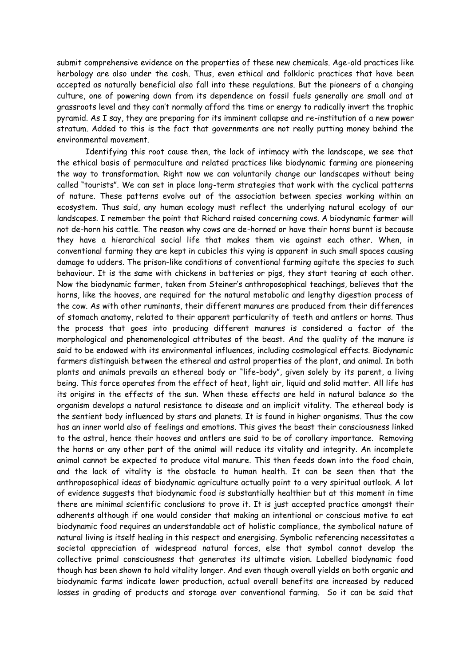submit comprehensive evidence on the properties of these new chemicals. Age-old practices like herbology are also under the cosh. Thus, even ethical and folkloric practices that have been accepted as naturally beneficial also fall into these regulations. But the pioneers of a changing culture, one of powering down from its dependence on fossil fuels generally are small and at grassroots level and they can't normally afford the time or energy to radically invert the trophic pyramid. As I say, they are preparing for its imminent collapse and re-institution of a new power stratum. Added to this is the fact that governments are not really putting money behind the environmental movement.

Identifying this root cause then, the lack of intimacy with the landscape, we see that the ethical basis of permaculture and related practices like biodynamic farming are pioneering the way to transformation. Right now we can voluntarily change our landscapes without being called "tourists". We can set in place long-term strategies that work with the cyclical patterns of nature. These patterns evolve out of the association between species working within an ecosystem. Thus said, any human ecology must reflect the underlying natural ecology of our landscapes. I remember the point that Richard raised concerning cows. A biodynamic farmer will not de-horn his cattle. The reason why cows are de-horned or have their horns burnt is because they have a hierarchical social life that makes them vie against each other. When, in conventional farming they are kept in cubicles this vying is apparent in such small spaces causing damage to udders. The prison-like conditions of conventional farming agitate the species to such behaviour. It is the same with chickens in batteries or pigs, they start tearing at each other. Now the biodynamic farmer, taken from Steiner's anthroposophical teachings, believes that the horns, like the hooves, are required for the natural metabolic and lengthy digestion process of the cow. As with other ruminants, their different manures are produced from their differences of stomach anatomy, related to their apparent particularity of teeth and antlers or horns. Thus the process that goes into producing different manures is considered a factor of the morphological and phenomenological attributes of the beast. And the quality of the manure is said to be endowed with its environmental influences, including cosmological effects. Biodynamic farmers distinguish between the ethereal and astral properties of the plant, and animal. In both plants and animals prevails an ethereal body or "life-body", given solely by its parent, a living being. This force operates from the effect of heat, light air, liquid and solid matter. All life has its origins in the effects of the sun. When these effects are held in natural balance so the organism develops a natural resistance to disease and an implicit vitality. The ethereal body is the sentient body influenced by stars and planets. It is found in higher organisms. Thus the cow has an inner world also of feelings and emotions. This gives the beast their consciousness linked to the astral, hence their hooves and antlers are said to be of corollary importance. Removing the horns or any other part of the animal will reduce its vitality and integrity. An incomplete animal cannot be expected to produce vital manure. This then feeds down into the food chain, and the lack of vitality is the obstacle to human health. It can be seen then that the anthroposophical ideas of biodynamic agriculture actually point to a very spiritual outlook. A lot of evidence suggests that biodynamic food is substantially healthier but at this moment in time there are minimal scientific conclusions to prove it. It is just accepted practice amongst their adherents although if one would consider that making an intentional or conscious motive to eat biodynamic food requires an understandable act of holistic compliance, the symbolical nature of natural living is itself healing in this respect and energising. Symbolic referencing necessitates a societal appreciation of widespread natural forces, else that symbol cannot develop the collective primal consciousness that generates its ultimate vision. Labelled biodynamic food though has been shown to hold vitality longer. And even though overall yields on both organic and biodynamic farms indicate lower production, actual overall benefits are increased by reduced losses in grading of products and storage over conventional farming. So it can be said that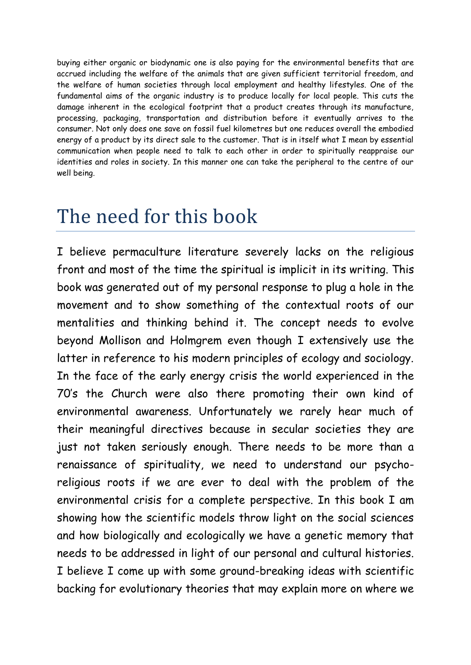buying either organic or biodynamic one is also paying for the environmental benefits that are accrued including the welfare of the animals that are given sufficient territorial freedom, and the welfare of human societies through local employment and healthy lifestyles. One of the fundamental aims of the organic industry is to produce locally for local people. This cuts the damage inherent in the ecological footprint that a product creates through its manufacture, processing, packaging, transportation and distribution before it eventually arrives to the consumer. Not only does one save on fossil fuel kilometres but one reduces overall the embodied energy of a product by its direct sale to the customer. That is in itself what I mean by essential communication when people need to talk to each other in order to spiritually reappraise our identities and roles in society. In this manner one can take the peripheral to the centre of our well being.

## The need for this book

I believe permaculture literature severely lacks on the religious front and most of the time the spiritual is implicit in its writing. This book was generated out of my personal response to plug a hole in the movement and to show something of the contextual roots of our mentalities and thinking behind it. The concept needs to evolve beyond Mollison and Holmgrem even though I extensively use the latter in reference to his modern principles of ecology and sociology. In the face of the early energy crisis the world experienced in the 70's the Church were also there promoting their own kind of environmental awareness. Unfortunately we rarely hear much of their meaningful directives because in secular societies they are just not taken seriously enough. There needs to be more than a renaissance of spirituality, we need to understand our psychoreligious roots if we are ever to deal with the problem of the environmental crisis for a complete perspective. In this book I am showing how the scientific models throw light on the social sciences and how biologically and ecologically we have a genetic memory that needs to be addressed in light of our personal and cultural histories. I believe I come up with some ground-breaking ideas with scientific backing for evolutionary theories that may explain more on where we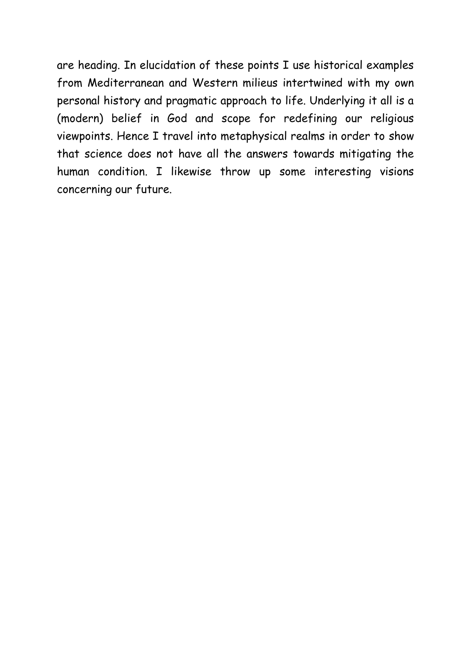are heading. In elucidation of these points I use historical examples from Mediterranean and Western milieus intertwined with my own personal history and pragmatic approach to life. Underlying it all is a (modern) belief in God and scope for redefining our religious viewpoints. Hence I travel into metaphysical realms in order to show that science does not have all the answers towards mitigating the human condition. I likewise throw up some interesting visions concerning our future.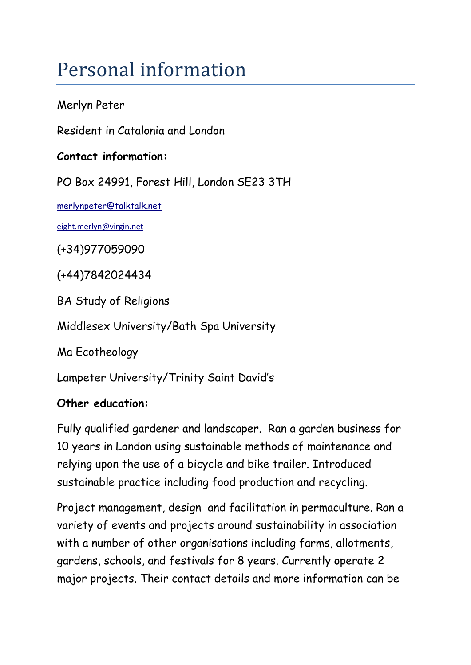# Personal information

#### Merlyn Peter

Resident in Catalonia and London

#### **Contact information:**

PO Box 24991, Forest Hill, London SE23 3TH

[merlynpeter@talktalk.net](mailto:merlynpeter@talktalk.net)

[eight.merlyn@virgin.net](mailto:eight.merlyn@virgin.net)

(+34)977059090

(+44)7842024434

BA Study of Religions

Middlesex University/Bath Spa University

Ma Ecotheology

Lampeter University/Trinity Saint David's

#### **Other education:**

Fully qualified gardener and landscaper. Ran a garden business for 10 years in London using sustainable methods of maintenance and relying upon the use of a bicycle and bike trailer. Introduced sustainable practice including food production and recycling.

Project management, design and facilitation in permaculture. Ran a variety of events and projects around sustainability in association with a number of other organisations including farms, allotments, gardens, schools, and festivals for 8 years. Currently operate 2 major projects. Their contact details and more information can be